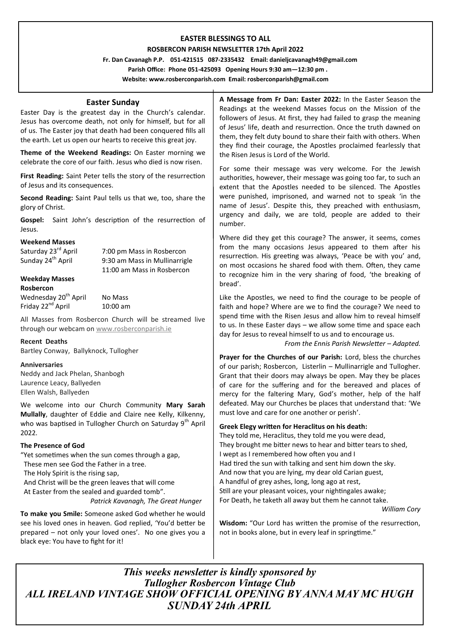# **EASTER BLESSINGS TO ALL**

### **ROSBERCON PARISH NEWSLETTER 17th April 2022**

 **Fr. Dan Cavanagh P.P. 051-421515 087-2335432 Email: danieljcavanagh49@gmail.com Parish Office: Phone 051-425093****Opening Hours 9:30 am—12:30 pm .** 

**Website: www.rosberconparish.com Email: rosberconparish@gmail.com**

# **Easter Sunday**

Easter Day is the greatest day in the Church's calendar. Jesus has overcome death, not only for himself, but for all of us. The Easter joy that death had been conquered fills all the earth. Let us open our hearts to receive this great joy.

**Theme of the Weekend Readings:** On Easter morning we celebrate the core of our faith. Jesus who died is now risen.

**First Reading:** Saint Peter tells the story of the resurrection of Jesus and its consequences.

**Second Reading:** Saint Paul tells us that we, too, share the glory of Christ.

**Gospel:** Saint John's description of the resurrection of Jesus.

#### **Weekend Masses**

| Saturday 23rd April              | 7:00 pm Mass in Rosbercon     |
|----------------------------------|-------------------------------|
| Sunday 24 <sup>th</sup> April    | 9:30 am Mass in Mullinarrigle |
|                                  | 11:00 am Mass in Rosbercon    |
| <b>Weekday Masses</b>            |                               |
| Rosbercon                        |                               |
| Wednesday 20 <sup>th</sup> April | No Mass                       |

Friday 22<sup>nd</sup> April 10:00 am

All Masses from Rosbercon Church will be streamed live through our webcam on [www.rosberconparish.ie](http://www.rosberconparish.ie/)

#### **Recent Deaths**

Bartley Conway, Ballyknock, Tullogher

# **Anniversaries**

Neddy and Jack Phelan, Shanbogh Laurence Leacy, Ballyeden Ellen Walsh, Ballyeden

We welcome into our Church Community **Mary Sarah Mullally**, daughter of Eddie and Claire nee Kelly, Kilkenny, who was baptised in Tullogher Church on Saturday 9<sup>th</sup> April 2022.

# **The Presence of God**

"Yet sometimes when the sun comes through a gap, These men see God the Father in a tree. The Holy Spirit is the rising sap, And Christ will be the green leaves that will come At Easter from the sealed and guarded tomb". *Patrick Kavanagh, The Great Hunger*

**To make you Smile:** Someone asked God whether he would see his loved ones in heaven. God replied, 'You'd better be prepared – not only your loved ones'. No one gives you a black eye: You have to fight for it!

**A Message from Fr Dan: Easter 2022:** In the Easter Season the Readings at the weekend Masses focus on the Mission of the followers of Jesus. At first, they had failed to grasp the meaning of Jesus' life, death and resurrection. Once the truth dawned on them, they felt duty bound to share their faith with others. When they find their courage, the Apostles proclaimed fearlessly that the Risen Jesus is Lord of the World.

For some their message was very welcome. For the Jewish authorities, however, their message was going too far, to such an extent that the Apostles needed to be silenced. The Apostles were punished, imprisoned, and warned not to speak 'in the name of Jesus'. Despite this, they preached with enthusiasm, urgency and daily, we are told, people are added to their number.

Where did they get this courage? The answer, it seems, comes from the many occasions Jesus appeared to them after his resurrection. His greeting was always, 'Peace be with you' and, on most occasions he shared food with them. Often, they came to recognize him in the very sharing of food, 'the breaking of bread'.

Like the Apostles, we need to find the courage to be people of faith and hope? Where are we to find the courage? We need to spend time with the Risen Jesus and allow him to reveal himself to us. In these Easter days – we allow some time and space each day for Jesus to reveal himself to us and to encourage us.

*From the Ennis Parish Newsletter – Adapted.*

**Prayer for the Churches of our Parish:** Lord, bless the churches of our parish; Rosbercon, Listerlin – Mullinarrigle and Tullogher. Grant that their doors may always be open. May they be places of care for the suffering and for the bereaved and places of mercy for the faltering Mary, God's mother, help of the half defeated. May our Churches be places that understand that: 'We must love and care for one another or perish'.

# **Greek Elegy written for Heraclitus on his death:**

They told me, Heraclitus, they told me you were dead, They brought me bitter news to hear and bitter tears to shed, I wept as I remembered how often you and I Had tired the sun with talking and sent him down the sky. And now that you are lying, my dear old Carian guest, A handful of grey ashes, long, long ago at rest, Still are your pleasant voices, your nightingales awake; For Death, he taketh all away but them he cannot take.

*William Cory*

**Wisdom:** "Our Lord has written the promise of the resurrection, not in books alone, but in every leaf in springtime."

*This weeks newsletter is kindly sponsored by Tullogher Rosbercon Vintage Club ALL IRELAND VINTAGE SHOW OFFICIAL OPENING BY ANNA MAY MC HUGH SUNDAY 24th APRIL*